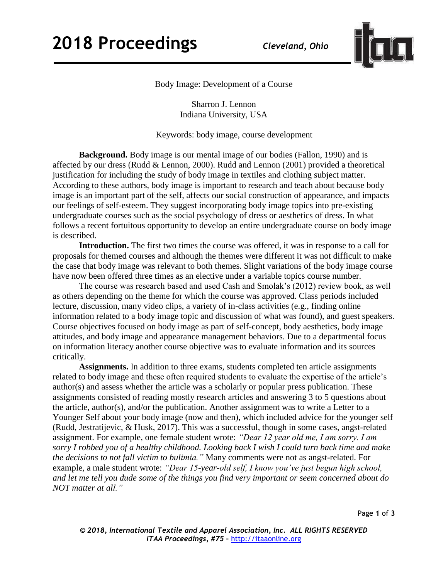

Body Image: Development of a Course

Sharron J. Lennon Indiana University, USA

Keywords: body image, course development

**Background.** Body image is our mental image of our bodies (Fallon, 1990) and is affected by our dress (Rudd & Lennon, 2000). Rudd and Lennon (2001) provided a theoretical justification for including the study of body image in textiles and clothing subject matter. According to these authors, body image is important to research and teach about because body image is an important part of the self, affects our social construction of appearance, and impacts our feelings of self-esteem. They suggest incorporating body image topics into pre-existing undergraduate courses such as the social psychology of dress or aesthetics of dress. In what follows a recent fortuitous opportunity to develop an entire undergraduate course on body image is described.

**Introduction.** The first two times the course was offered, it was in response to a call for proposals for themed courses and although the themes were different it was not difficult to make the case that body image was relevant to both themes. Slight variations of the body image course have now been offered three times as an elective under a variable topics course number.

The course was research based and used Cash and Smolak's (2012) review book, as well as others depending on the theme for which the course was approved. Class periods included lecture, discussion, many video clips, a variety of in-class activities (e.g., finding online information related to a body image topic and discussion of what was found), and guest speakers. Course objectives focused on body image as part of self-concept, body aesthetics, body image attitudes, and body image and appearance management behaviors. Due to a departmental focus on information literacy another course objective was to evaluate information and its sources critically.

**Assignments.** In addition to three exams, students completed ten article assignments related to body image and these often required students to evaluate the expertise of the article's author(s) and assess whether the article was a scholarly or popular press publication. These assignments consisted of reading mostly research articles and answering 3 to 5 questions about the article, author(s), and/or the publication. Another assignment was to write a Letter to a Younger Self about your body image (now and then), which included advice for the younger self (Rudd, Jestratijevic, & Husk, 2017). This was a successful, though in some cases, angst-related assignment. For example, one female student wrote: *"Dear 12 year old me, I am sorry. I am sorry I robbed you of a healthy childhood. Looking back I wish I could turn back time and make the decisions to not fall victim to bulimia."* Many comments were not as angst-related. For example, a male student wrote: *"Dear 15-year-old self, I know you've just begun high school, and let me tell you dude some of the things you find very important or seem concerned about do NOT matter at all."* 

Page **1** of **3**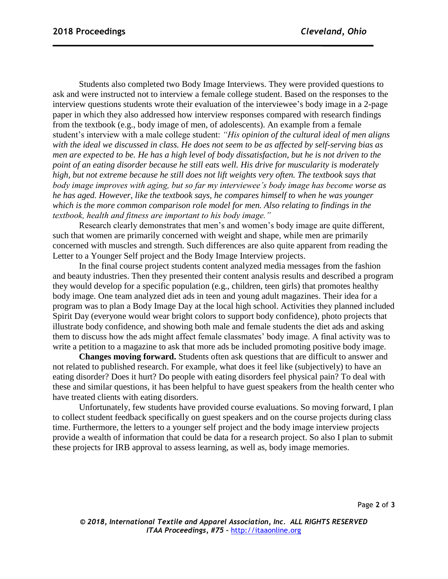Students also completed two Body Image Interviews. They were provided questions to ask and were instructed not to interview a female college student. Based on the responses to the interview questions students wrote their evaluation of the interviewee's body image in a 2-page paper in which they also addressed how interview responses compared with research findings from the textbook (e.g., body image of men, of adolescents). An example from a female student's interview with a male college student: *"His opinion of the cultural ideal of men aligns with the ideal we discussed in class. He does not seem to be as affected by self-serving bias as men are expected to be. He has a high level of body dissatisfaction, but he is not driven to the point of an eating disorder because he still eats well. His drive for muscularity is moderately high, but not extreme because he still does not lift weights very often. The textbook says that body image improves with aging, but so far my interviewee's body image has become worse as he has aged. However, like the textbook says, he compares himself to when he was younger which is the more common comparison role model for men. Also relating to findings in the textbook, health and fitness are important to his body image."*

Research clearly demonstrates that men's and women's body image are quite different, such that women are primarily concerned with weight and shape, while men are primarily concerned with muscles and strength. Such differences are also quite apparent from reading the Letter to a Younger Self project and the Body Image Interview projects.

In the final course project students content analyzed media messages from the fashion and beauty industries. Then they presented their content analysis results and described a program they would develop for a specific population (e.g., children, teen girls) that promotes healthy body image. One team analyzed diet ads in teen and young adult magazines. Their idea for a program was to plan a Body Image Day at the local high school. Activities they planned included Spirit Day (everyone would wear bright colors to support body confidence), photo projects that illustrate body confidence, and showing both male and female students the diet ads and asking them to discuss how the ads might affect female classmates' body image. A final activity was to write a petition to a magazine to ask that more ads be included promoting positive body image.

**Changes moving forward.** Students often ask questions that are difficult to answer and not related to published research. For example, what does it feel like (subjectively) to have an eating disorder? Does it hurt? Do people with eating disorders feel physical pain? To deal with these and similar questions, it has been helpful to have guest speakers from the health center who have treated clients with eating disorders.

Unfortunately, few students have provided course evaluations. So moving forward, I plan to collect student feedback specifically on guest speakers and on the course projects during class time. Furthermore, the letters to a younger self project and the body image interview projects provide a wealth of information that could be data for a research project. So also I plan to submit these projects for IRB approval to assess learning, as well as, body image memories.

Page **2** of **3**